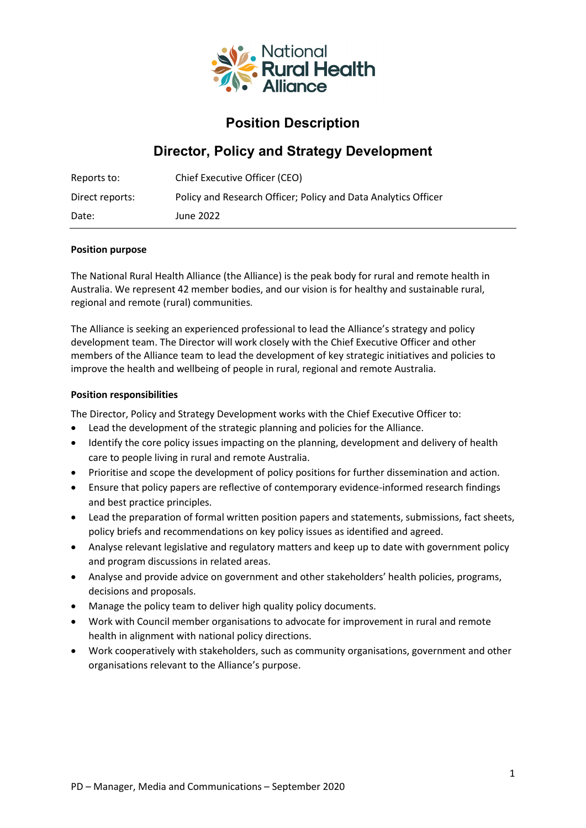

## **Position Description**

# **Director, Policy and Strategy Development**

| Reports to:     | Chief Executive Officer (CEO)                                  |
|-----------------|----------------------------------------------------------------|
| Direct reports: | Policy and Research Officer; Policy and Data Analytics Officer |
| Date:           | June 2022                                                      |

#### **Position purpose**

The National Rural Health Alliance (the Alliance) is the peak body for rural and remote health in Australia. We represent 42 member bodies, and our vision is for healthy and sustainable rural, regional and remote (rural) communities.

The Alliance is seeking an experienced professional to lead the Alliance's strategy and policy development team. The Director will work closely with the Chief Executive Officer and other members of the Alliance team to lead the development of key strategic initiatives and policies to improve the health and wellbeing of people in rural, regional and remote Australia.

#### **Position responsibilities**

The Director, Policy and Strategy Development works with the Chief Executive Officer to:

- Lead the development of the strategic planning and policies for the Alliance.
- Identify the core policy issues impacting on the planning, development and delivery of health care to people living in rural and remote Australia.
- Prioritise and scope the development of policy positions for further dissemination and action.
- Ensure that policy papers are reflective of contemporary evidence-informed research findings and best practice principles.
- Lead the preparation of formal written position papers and statements, submissions, fact sheets, policy briefs and recommendations on key policy issues as identified and agreed.
- Analyse relevant legislative and regulatory matters and keep up to date with government policy and program discussions in related areas.
- Analyse and provide advice on government and other stakeholders' health policies, programs, decisions and proposals.
- Manage the policy team to deliver high quality policy documents.
- Work with Council member organisations to advocate for improvement in rural and remote health in alignment with national policy directions.
- Work cooperatively with stakeholders, such as community organisations, government and other organisations relevant to the Alliance's purpose.